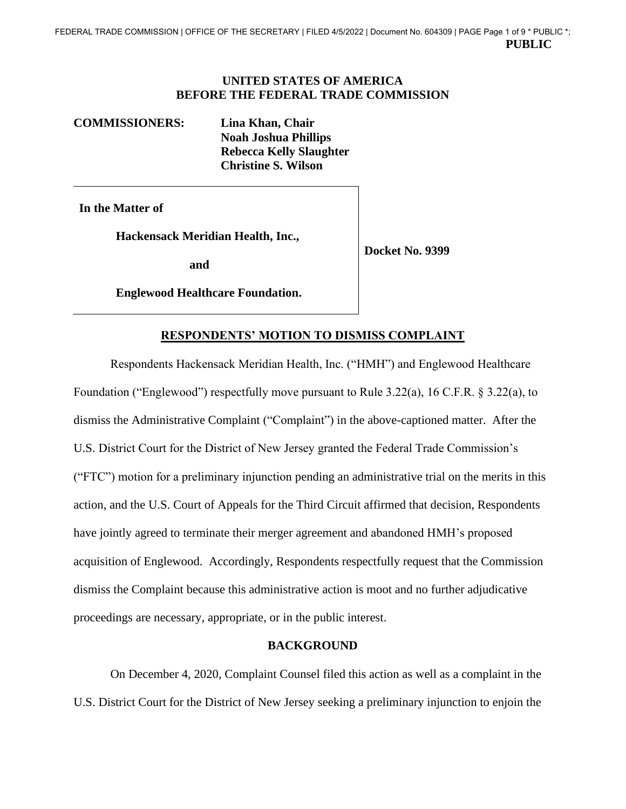#### **UNITED STATES OF AMERICA BEFORE THE FEDERAL TRADE COMMISSION**

#### **COMMISSIONERS: Lina Khan, Chair**

**Noah Joshua Phillips Rebecca Kelly Slaughter Christine S. Wilson** 

**In the Matter of** 

**Hackensack Meridian Health, Inc.,** 

**and** 

**Docket No. 9399** 

**Englewood Healthcare Foundation.** 

# **RESPONDENTS' MOTION TO DISMISS COMPLAINT**

Respondents Hackensack Meridian Health, Inc. ("HMH") and Englewood Healthcare Foundation ("Englewood") respectfully move pursuant to Rule 3.22(a), 16 C.F.R. § 3.22(a), to dismiss the Administrative Complaint ("Complaint") in the above-captioned matter. After the U.S. District Court for the District of New Jersey granted the Federal Trade Commission's ("FTC") motion for a preliminary injunction pending an administrative trial on the merits in this action, and the U.S. Court of Appeals for the Third Circuit affirmed that decision, Respondents have jointly agreed to terminate their merger agreement and abandoned HMH's proposed acquisition of Englewood. Accordingly, Respondents respectfully request that the Commission dismiss the Complaint because this administrative action is moot and no further adjudicative proceedings are necessary, appropriate, or in the public interest.

## **BACKGROUND**

On December 4, 2020, Complaint Counsel filed this action as well as a complaint in the U.S. District Court for the District of New Jersey seeking a preliminary injunction to enjoin the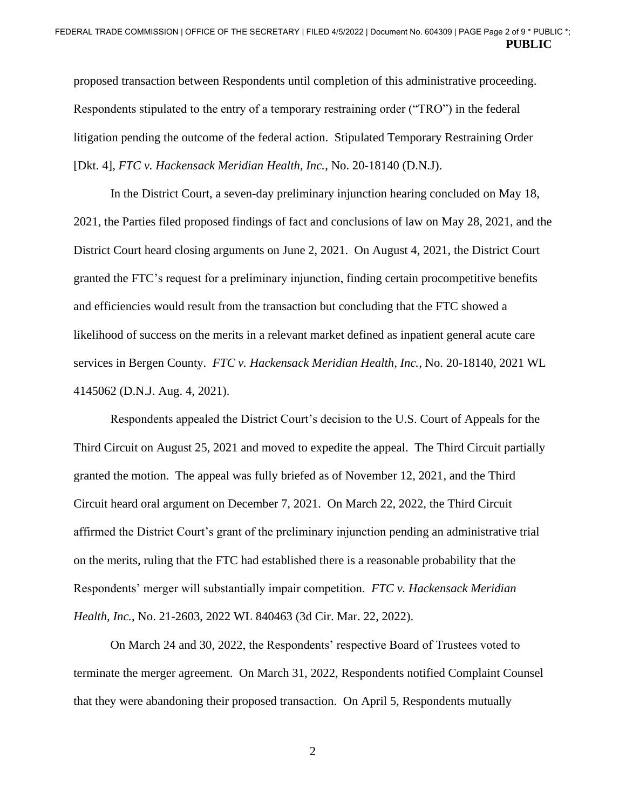proposed transaction between Respondents until completion of this administrative proceeding. Respondents stipulated to the entry of a temporary restraining order ("TRO") in the federal litigation pending the outcome of the federal action. Stipulated Temporary Restraining Order [Dkt. 4], *FTC v. Hackensack Meridian Health, Inc.*, No. 20-18140 (D.N.J).

4145062 (D.N.J. Aug. 4, 2021). In the District Court, a seven-day preliminary injunction hearing concluded on May 18, 2021, the Parties filed proposed findings of fact and conclusions of law on May 28, 2021, and the District Court heard closing arguments on June 2, 2021. On August 4, 2021, the District Court granted the FTC's request for a preliminary injunction, finding certain procompetitive benefits and efficiencies would result from the transaction but concluding that the FTC showed a likelihood of success on the merits in a relevant market defined as inpatient general acute care services in Bergen County. *FTC v. Hackensack Meridian Health, Inc.*, No. 20-18140, 2021 WL

Respondents appealed the District Court's decision to the U.S. Court of Appeals for the Third Circuit on August 25, 2021 and moved to expedite the appeal. The Third Circuit partially granted the motion. The appeal was fully briefed as of November 12, 2021, and the Third Circuit heard oral argument on December 7, 2021. On March 22, 2022, the Third Circuit affirmed the District Court's grant of the preliminary injunction pending an administrative trial on the merits, ruling that the FTC had established there is a reasonable probability that the Respondents' merger will substantially impair competition. *FTC v. Hackensack Meridian Health, Inc.*, No. 21-2603, 2022 WL 840463 (3d Cir. Mar. 22, 2022).

On March 24 and 30, 2022, the Respondents' respective Board of Trustees voted to terminate the merger agreement. On March 31, 2022, Respondents notified Complaint Counsel that they were abandoning their proposed transaction. On April 5, Respondents mutually

2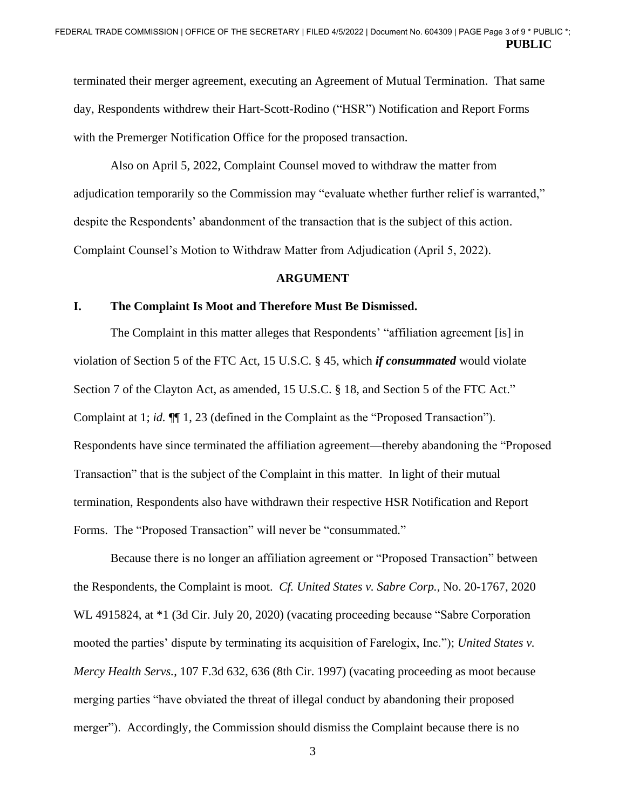terminated their merger agreement, executing an Agreement of Mutual Termination. That same day, Respondents withdrew their Hart-Scott-Rodino ("HSR") Notification and Report Forms with the Premerger Notification Office for the proposed transaction.

Also on April 5, 2022, Complaint Counsel moved to withdraw the matter from adjudication temporarily so the Commission may "evaluate whether further relief is warranted," despite the Respondents' abandonment of the transaction that is the subject of this action. Complaint Counsel's Motion to Withdraw Matter from Adjudication (April 5, 2022).

#### **ARGUMENT**

#### **I. The Complaint Is Moot and Therefore Must Be Dismissed.**

Section 7 of the Clayton Act, as amended, 15 U.S.C. § 18, and Section 5 of the FTC Act." The Complaint in this matter alleges that Respondents' "affiliation agreement [is] in violation of Section 5 of the FTC Act, 15 U.S.C. § 45, which *if consummated* would violate Complaint at 1; *id.* ¶¶ 1, 23 (defined in the Complaint as the "Proposed Transaction"). Respondents have since terminated the affiliation agreement—thereby abandoning the "Proposed Transaction" that is the subject of the Complaint in this matter. In light of their mutual termination, Respondents also have withdrawn their respective HSR Notification and Report Forms. The "Proposed Transaction" will never be "consummated."

 the Respondents, the Complaint is moot. *Cf. United States v. Sabre Corp.*, No. 20-1767, 2020 merger"). Accordingly, the Commission should dismiss the Complaint because there is no Because there is no longer an affiliation agreement or "Proposed Transaction" between WL 4915824, at \*1 (3d Cir. July 20, 2020) (vacating proceeding because "Sabre Corporation mooted the parties' dispute by terminating its acquisition of Farelogix, Inc."); *United States v. Mercy Health Servs.*, 107 F.3d 632, 636 (8th Cir. 1997) (vacating proceeding as moot because merging parties "have obviated the threat of illegal conduct by abandoning their proposed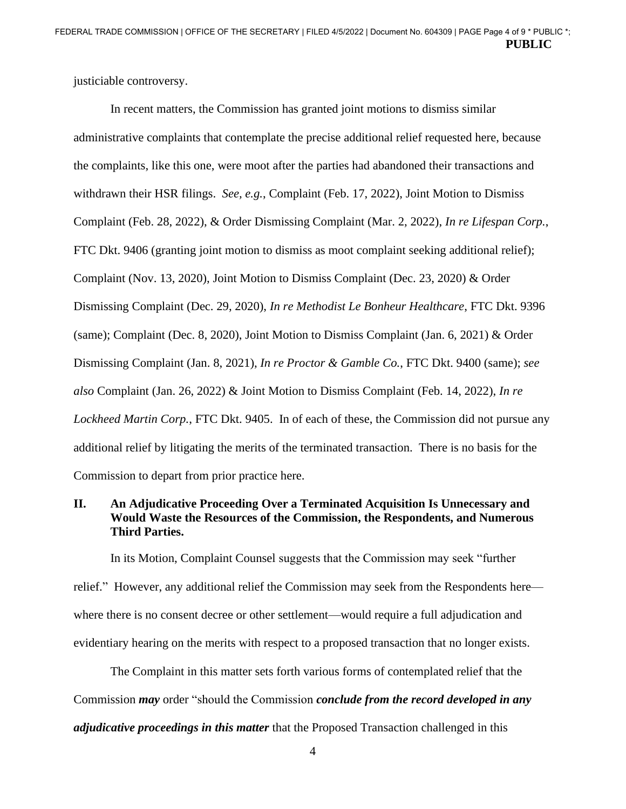justiciable controversy.

In recent matters, the Commission has granted joint motions to dismiss similar administrative complaints that contemplate the precise additional relief requested here, because the complaints, like this one, were moot after the parties had abandoned their transactions and withdrawn their HSR filings. *See, e.g.*, Complaint (Feb. 17, 2022), Joint Motion to Dismiss Complaint (Feb. 28, 2022), & Order Dismissing Complaint (Mar. 2, 2022), *In re Lifespan Corp.*, FTC Dkt. 9406 (granting joint motion to dismiss as moot complaint seeking additional relief); Complaint (Nov. 13, 2020), Joint Motion to Dismiss Complaint (Dec. 23, 2020) & Order Dismissing Complaint (Dec. 29, 2020), *In re Methodist Le Bonheur Healthcare*, FTC Dkt. 9396 (same); Complaint (Dec. 8, 2020), Joint Motion to Dismiss Complaint (Jan. 6, 2021) & Order Dismissing Complaint (Jan. 8, 2021), *In re Proctor & Gamble Co.*, FTC Dkt. 9400 (same); *see also* Complaint (Jan. 26, 2022) & Joint Motion to Dismiss Complaint (Feb. 14, 2022), *In re Lockheed Martin Corp.*, FTC Dkt. 9405. In of each of these, the Commission did not pursue any additional relief by litigating the merits of the terminated transaction. There is no basis for the Commission to depart from prior practice here.

## **II. An Adjudicative Proceeding Over a Terminated Acquisition Is Unnecessary and Would Waste the Resources of the Commission, the Respondents, and Numerous Third Parties.**

 relief." However, any additional relief the Commission may seek from the Respondents here— In its Motion, Complaint Counsel suggests that the Commission may seek "further where there is no consent decree or other settlement—would require a full adjudication and evidentiary hearing on the merits with respect to a proposed transaction that no longer exists.

The Complaint in this matter sets forth various forms of contemplated relief that the Commission *may* order "should the Commission *conclude from the record developed in any adjudicative proceedings in this matter* that the Proposed Transaction challenged in this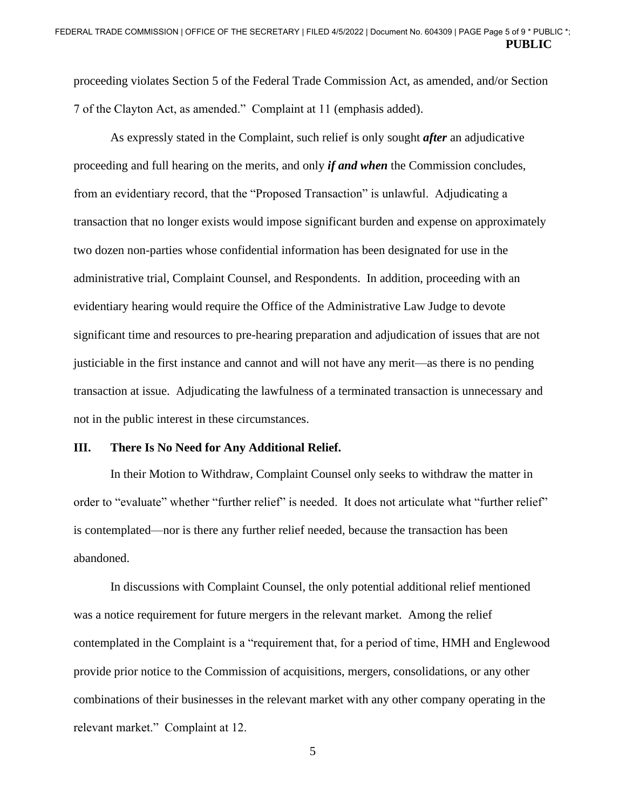proceeding violates Section 5 of the Federal Trade Commission Act, as amended, and/or Section 7 of the Clayton Act, as amended." Complaint at 11 (emphasis added).

 transaction at issue. Adjudicating the lawfulness of a terminated transaction is unnecessary and As expressly stated in the Complaint, such relief is only sought *after* an adjudicative proceeding and full hearing on the merits, and only *if and when* the Commission concludes, from an evidentiary record, that the "Proposed Transaction" is unlawful. Adjudicating a transaction that no longer exists would impose significant burden and expense on approximately two dozen non-parties whose confidential information has been designated for use in the administrative trial, Complaint Counsel, and Respondents. In addition, proceeding with an evidentiary hearing would require the Office of the Administrative Law Judge to devote significant time and resources to pre-hearing preparation and adjudication of issues that are not justiciable in the first instance and cannot and will not have any merit—as there is no pending not in the public interest in these circumstances.

#### **III. There Is No Need for Any Additional Relief.**

In their Motion to Withdraw, Complaint Counsel only seeks to withdraw the matter in order to "evaluate" whether "further relief" is needed. It does not articulate what "further relief" is contemplated—nor is there any further relief needed, because the transaction has been abandoned.

In discussions with Complaint Counsel, the only potential additional relief mentioned was a notice requirement for future mergers in the relevant market. Among the relief contemplated in the Complaint is a "requirement that, for a period of time, HMH and Englewood provide prior notice to the Commission of acquisitions, mergers, consolidations, or any other combinations of their businesses in the relevant market with any other company operating in the relevant market." Complaint at 12.

5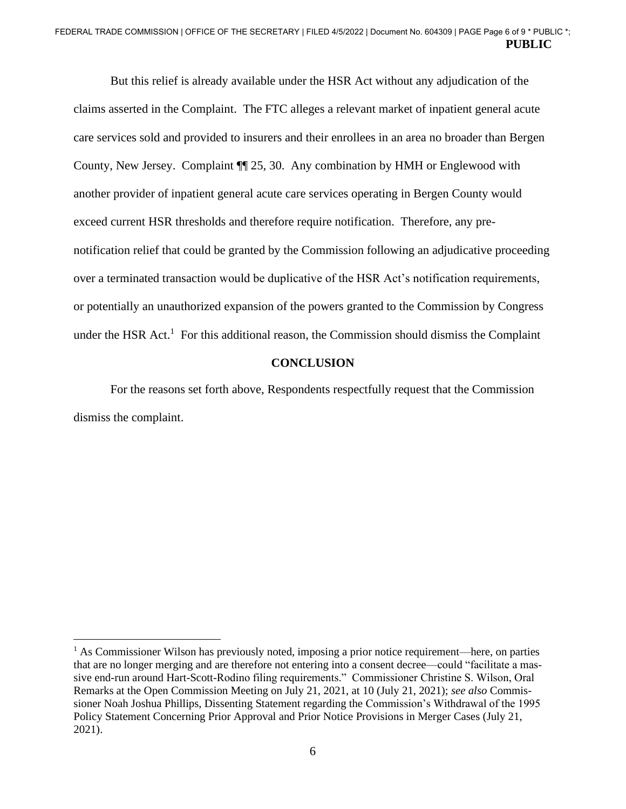claims asserted in the Complaint. The FTC alleges a relevant market of inpatient general acute under the HSR Act.<sup>1</sup> For this additional reason, the Commission should dismiss the Complaint But this relief is already available under the HSR Act without any adjudication of the care services sold and provided to insurers and their enrollees in an area no broader than Bergen County, New Jersey. Complaint ¶¶ 25, 30. Any combination by HMH or Englewood with another provider of inpatient general acute care services operating in Bergen County would exceed current HSR thresholds and therefore require notification. Therefore, any prenotification relief that could be granted by the Commission following an adjudicative proceeding over a terminated transaction would be duplicative of the HSR Act's notification requirements, or potentially an unauthorized expansion of the powers granted to the Commission by Congress

#### **CONCLUSION**

For the reasons set forth above, Respondents respectfully request that the Commission dismiss the complaint.

 sioner Noah Joshua Phillips, Dissenting Statement regarding the Commission's Withdrawal of the 1995 <sup>1</sup> As Commissioner Wilson has previously noted, imposing a prior notice requirement—here, on parties that are no longer merging and are therefore not entering into a consent decree—could "facilitate a massive end-run around Hart-Scott-Rodino filing requirements." Commissioner Christine S. Wilson, Oral Remarks at the Open Commission Meeting on July 21, 2021, at 10 (July 21, 2021); *see also* Commis-Policy Statement Concerning Prior Approval and Prior Notice Provisions in Merger Cases (July 21, 2021).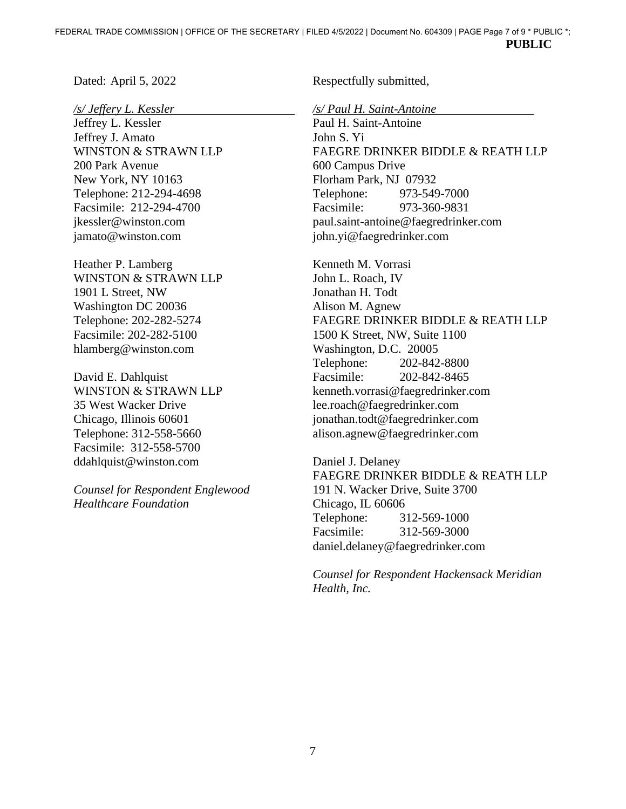Dated: April 5, 2022

*/s/ Jeffery L. Kessler* 

Jeffrey L. Kessler Jeffrey J. Amato WINSTON & STRAWN LLP 200 Park Avenue New York, NY 10163 Telephone: 212-294-4698 Facsimile: 212-294-4700 [jkessler@winston.com](mailto:jkessler@winston.com) [jamato@winston.com](mailto:jamato@winston.com)

Heather P. Lamberg WINSTON & STRAWN LLP 1901 L Street, NW Washington DC 20036 Telephone: 202-282-5274 Facsimile: 202-282-5100 [hlamberg@winston.com](mailto:hlamberg@winston.com) 

David E. Dahlquist WINSTON & STRAWN LLP 35 West Wacker Drive Chicago, Illinois 60601 Telephone: 312-558-5660 Facsimile: 312-558-5700 [ddahlquist@winston.com](mailto:ddahlquist@winston.com) 

*Counsel for Respondent Englewood Healthcare Foundation* 

Respectfully submitted,

*/s/ Paul H. Saint-Antoine* 

Paul H. Saint-Antoine John S. Yi FAEGRE DRINKER BIDDLE & REATH LLP 600 Campus Drive Florham Park, NJ 07932 Telephone: 973-549-7000 Facsimile: 973-360-9831 [paul.saint-antoine@faegredrinker.com](mailto:paul.saint-antoine@faegredrinker.com)  [john.yi@faegredrinker.com](mailto:john.yi@faegredrinker.com)

 Washington, D.C. 20005 Kenneth M. Vorrasi John L. Roach, IV Jonathan H. Todt Alison M. Agnew FAEGRE DRINKER BIDDLE & REATH LLP 1500 K Street, NW, Suite 1100 Telephone: 202-842-8800 Facsimile: 202-842-8465 [kenneth.vorrasi@faegredrinker.com](mailto:kenneth.vorrasi@faegredrinker.com)  [lee.roach@faegredrinker.com](mailto:lee.roach@faegredrinker.com)  [jonathan.todt@faegredrinker.com](mailto:jonathan.todt@faegredrinker.com) [alison.agnew@faegredrinker.com](mailto:alison.agnew@faegredrinker.com)

Daniel J. Delaney FAEGRE DRINKER BIDDLE & REATH LLP 191 N. Wacker Drive, Suite 3700 Chicago, IL 60606 Telephone: 312-569-1000 Facsimile: 312-569-3000 [daniel.delaney@faegredrinker.com](mailto:daniel.delaney@faegredrinker.com) 

*Counsel for Respondent Hackensack Meridian Health, Inc.*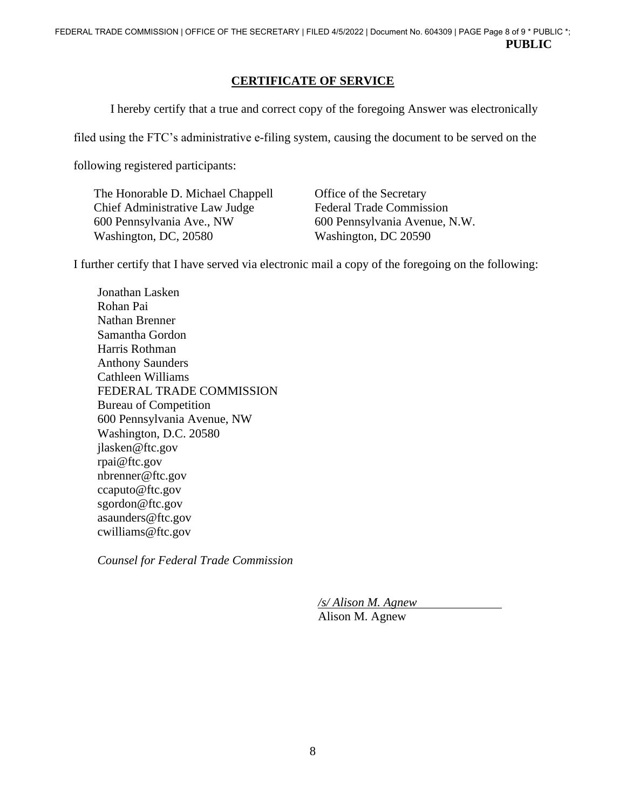# **CERTIFICATE OF SERVICE**

I hereby certify that a true and correct copy of the foregoing Answer was electronically

filed using the FTC's administrative e-filing system, causing the document to be served on the

following registered participants:

The Honorable D. Michael Chappell Office of the Secretary Chief Administrative Law Judge Federal Trade Commission 600 Pennsylvania Ave., NW 600 Pennsylvania Avenue, N.W. Washington, DC, 20580 Washington, DC 20590

I further certify that I have served via electronic mail a copy of the foregoing on the following:

Jonathan Lasken Rohan Pai Nathan Brenner Samantha Gordon Harris Rothman Anthony Saunders Cathleen Williams FEDERAL TRADE COMMISSION Bureau of Competition 600 Pennsylvania Avenue, NW Washington, D.C. 20580 [jlasken@ftc.gov](mailto:jlasken@ftc.gov) [rpai@ftc.gov](mailto:rpai@ftc.gov)  [nbrenner@ftc.gov](mailto:nbrenner@ftc.gov)  [ccaputo@ftc.gov](mailto:ccaputo@ftc.gov) [sgordon@ftc.gov](mailto:sgordon@ftc.gov)  [asaunders@ftc.gov](mailto:asaunders@ftc.gov) [cwilliams@ftc.gov](mailto:cwilliams@ftc.gov) 

*Counsel for Federal Trade Commission* 

*/s/ Alison M. Agnew*  Alison M. Agnew